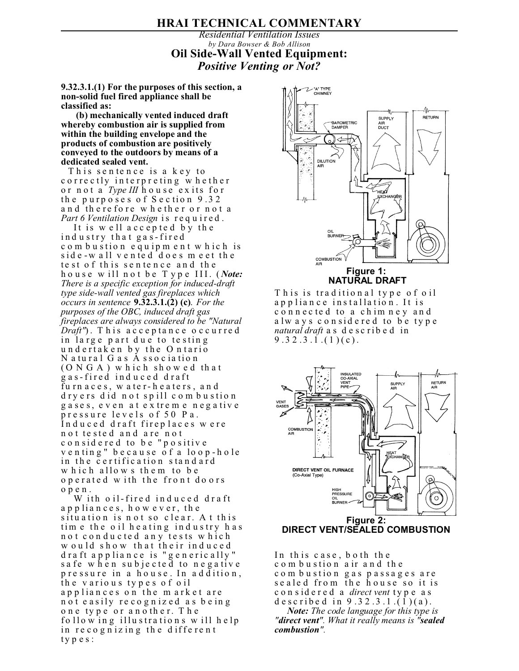## **HRAI TECHNICAL COMMENTARY**

## *Residential Ventilation Issues by Dara Bowser & Bob Allison* **Oil Side-Wall Vented Equipment:** *Positive Venting or Not?*

**9.32.3.1.(1) For the purposes of this section, a non-solid fuel fired appliance shall be classified as:**

 **(b) mechanically vented induced draft whereby combustion air is supplied from within the building envelope and the products of combustion are positively conveyed to the outdoors by means of a dedicated sealed vent.**

This sentence is a key to correctly interpreting whether or not a *Type III* house exits for the purposes of Section 9.32 and therefore whether or not a *Part 6 Ventilation Design* is req u ired .

It is well accepted by the ind u stry tha t ga s-fired com bustion equipment which is side-wall vented does meet the te st of this sentence and the house will not be Type III. (*Note*: *There is a specific exception for induced-draft type side-wall vented gas fireplaces which occurs in sentence* **9.32.3.1.(2) (c)**. *For the purposes of the OBC, induced draft gas fireplaces are always considered to be "Natural Draft"*). This acceptance occurred in large part due to testing undertaken by the Ontario N a tural G as A ssociation  $(0 N G A)$  which showed that g a s-fired ind u c e d d raft furn aces, w ater-heaters, and d ryers did not spill com bustion gases, even at extreme negative pressure levels of 50 Pa. Induced draft fireplaces were not tested and are not considered to be "positive venting" because of a loop-hole in the certification standard which allows them to be o p e rated with the front do ors open.

W ith oil-fired induced draft appliances, however, the situation is not so clear. At this tim e the oil heating industry has not conducted any tests which w ould show that their induced draft appliance is "generically" safe when subjected to negative pressure in a house. In addition, the various types of oil appliances on the market are not easily recognized as being one type or another. The  $f_0$  llow in g illustrations will help in recognizing the different types:



 **NATURAL DRAFT**

This is traditional type of oil appliance installation. It is connected to a chimney and always considered to be type *natural draft* as des c ri bed in  $9.32.3.1.(1)(c).$ 



In this case, both the com bustion air and the c o m b u stion gas passages are se a led from the house so it is considered a *direct vent* type as d e s c ribe d in  $9.32.3.1.(\overline{1})(a)$ .

*Note: The code language for this type is "direct vent". What it really means is "sealed combustion".*